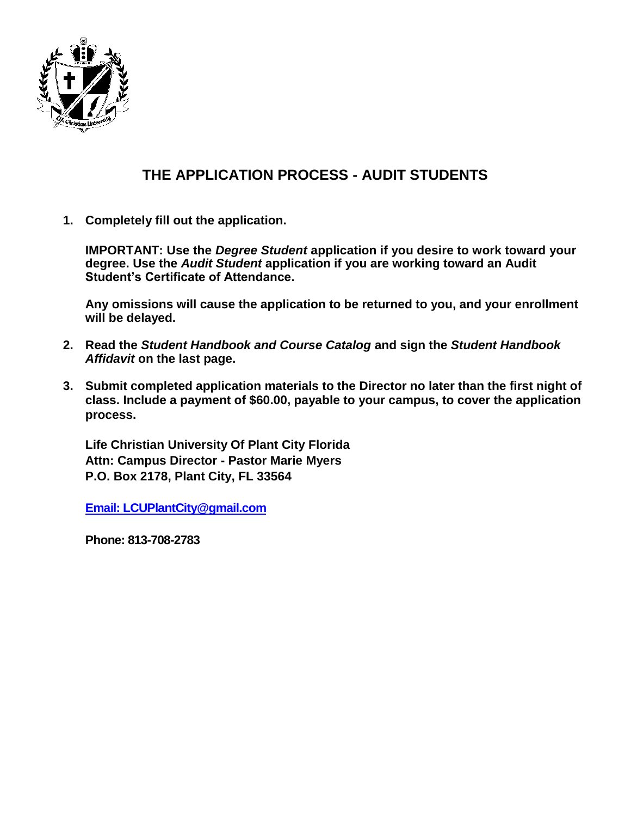

## **THE APPLICATION PROCESS - AUDIT STUDENTS**

**1. Completely fill out the application.**

**IMPORTANT: Use the** *Degree Student* **application if you desire to work toward your degree. Use the** *Audit Student* **application if you are working toward an Audit Student's Certificate of Attendance.**

**Any omissions will cause the application to be returned to you, and your enrollment will be delayed.**

- **2. Read the** *Student Handbook and Course Catalog* **and sign the** *Student Handbook Affidavit* **on the last page.**
- **3. Submit completed application materials to the Director no later than the first night of class. Include a payment of \$60.00, payable to your campus, to cover the application process.**

**Life Christian University Of Plant City Florida Attn: Campus Director - Pastor Marie Myers P.O. Box 2178, Plant City, FL 33564**

**[Email: LCUPlantCity@gmail.com](mailto:Email:%20LCUPlantCity@gmail.com)**

**Phone: 813-708-2783**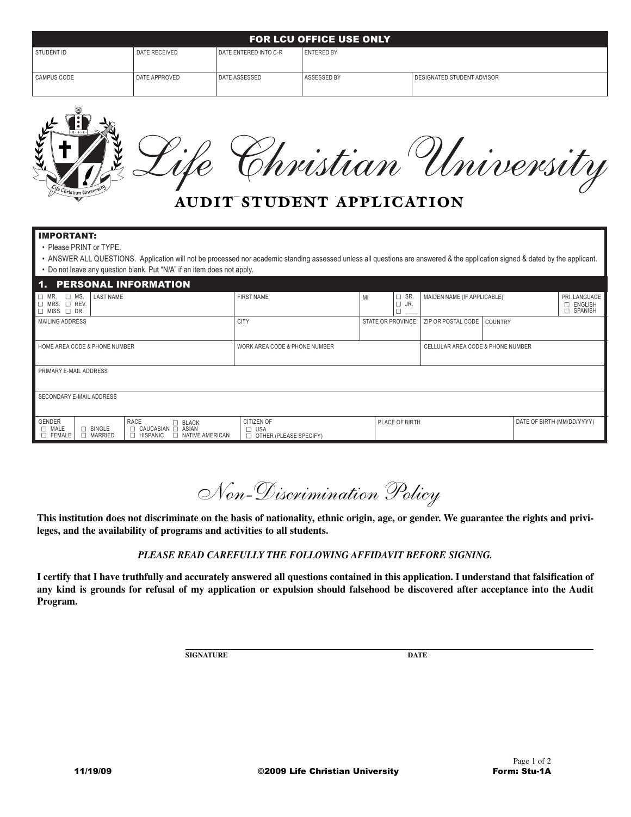| <b>FOR LCU OFFICE USE ONLY</b> |               |                         |              |                            |  |  |  |  |
|--------------------------------|---------------|-------------------------|--------------|----------------------------|--|--|--|--|
| STUDENT ID                     | DATE RECEIVED | I DATE ENTERED INTO C-R | l ENTERED BY |                            |  |  |  |  |
| CAMPUS CODE                    | DATE APPROVED | DATE ASSESSED           | ASSESSED BY  | DESIGNATED STUDENT ADVISOR |  |  |  |  |

|  |                                  | Christian University |  |
|--|----------------------------------|----------------------|--|
|  |                                  |                      |  |
|  | <b>AUDIT STUDENT APPLICATION</b> |                      |  |

| <b>IMPORTANT:</b><br>• Please PRINT or TYPE.<br>• ANSWER ALL QUESTIONS. Application will not be processed nor academic standing assessed unless all questions are answered & the application signed & dated by the applicant.<br>• Do not leave any question blank. Put "N/A" if an item does not apply. |                                                              |                   |                                   |                             |                |                                                  |  |  |  |
|----------------------------------------------------------------------------------------------------------------------------------------------------------------------------------------------------------------------------------------------------------------------------------------------------------|--------------------------------------------------------------|-------------------|-----------------------------------|-----------------------------|----------------|--------------------------------------------------|--|--|--|
| <b>PERSONAL INFORMATION</b><br>1.                                                                                                                                                                                                                                                                        |                                                              |                   |                                   |                             |                |                                                  |  |  |  |
| $\Box$ MS.<br><b>LAST NAME</b><br>$\Box$ MR.<br>$\Box$ MRS. $\Box$ REV.<br>$\Box$ MISS $\Box$ DR.                                                                                                                                                                                                        | <b>FIRST NAME</b>                                            | MI                | SR.<br>□<br>JR.<br>$\Box$         | MAIDEN NAME (IF APPLICABLE) |                | PRI. LANGUAGE<br>$\Box$ ENGLISH<br>П.<br>SPANISH |  |  |  |
| MAILING ADDRESS                                                                                                                                                                                                                                                                                          | <b>CITY</b>                                                  | STATE OR PROVINCE |                                   | ZIP OR POSTAL CODE          | <b>COUNTRY</b> |                                                  |  |  |  |
| HOME AREA CODE & PHONE NUMBER                                                                                                                                                                                                                                                                            | WORK AREA CODE & PHONE NUMBER                                |                   | CELLULAR AREA CODE & PHONE NUMBER |                             |                |                                                  |  |  |  |
| PRIMARY E-MAIL ADDRESS                                                                                                                                                                                                                                                                                   |                                                              |                   |                                   |                             |                |                                                  |  |  |  |
| SECONDARY E-MAIL ADDRESS                                                                                                                                                                                                                                                                                 |                                                              |                   |                                   |                             |                |                                                  |  |  |  |
| <b>GENDER</b><br>RACE<br>$\square$ BLACK<br>$\square$ MALE<br>$\Box$ SINGLE<br>□ CAUCASIAN □ ASIAN<br>$\Box$ MARRIED<br>NATIVE AMERICAN<br>$\square$ FEMALE<br>$\Box$ HISPANIC                                                                                                                           | CITIZEN OF<br><b>USA</b><br>$\Box$<br>OTHER (PLEASE SPECIFY) | PLACE OF BIRTH    |                                   |                             |                | DATE OF BIRTH (MM/DD/YYYY)                       |  |  |  |

*Non-Discrimination Policy*

**This institution does not discriminate on the basis of nationality, ethnic origin, age, or gender. We guarantee the rights and privileges, and the availability of programs and activities to all students.**

## *PLEASE READ CAREFULLY THE FOLLOWING AFFIDAVIT BEFORE SIGNING.*

**I certify that I have truthfully and accurately answered all questions contained in this application. I understand that falsification of any kind is grounds for refusal of my application or expulsion should falsehood be discovered after acceptance into the Audit Program.**

**SIGNATURE DATE**